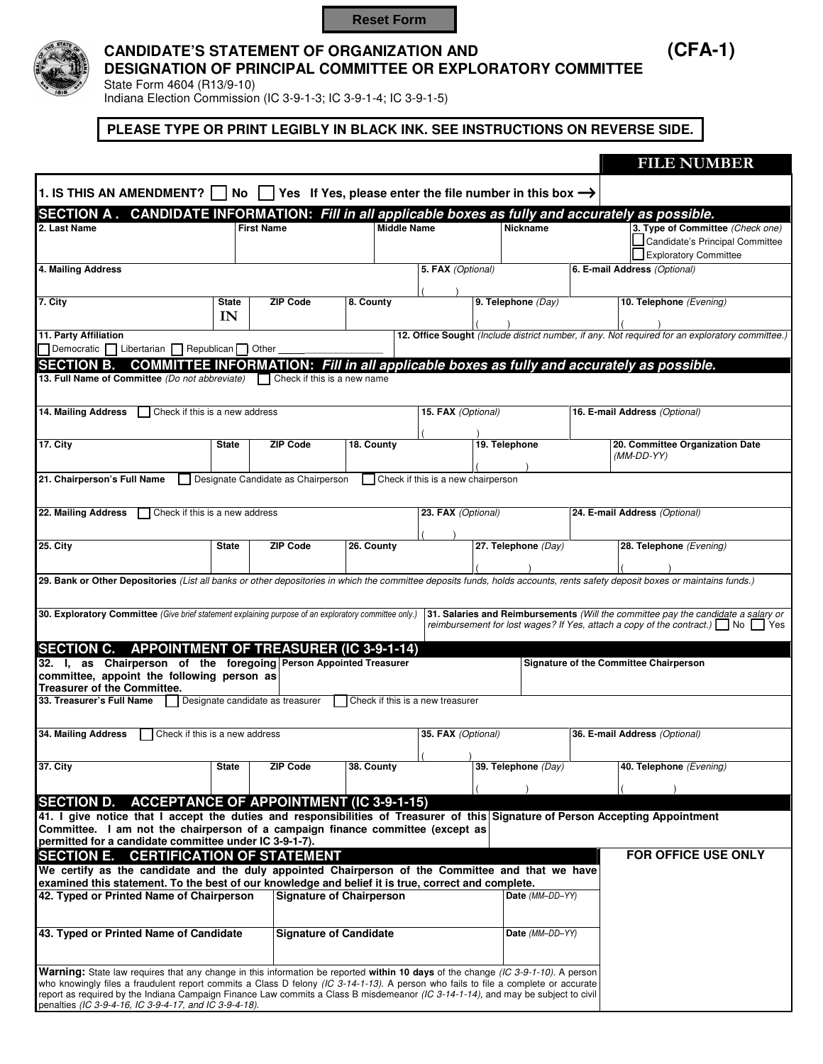**Reset Form**



## **CANDIDATE'S STATEMENT OF ORGANIZATION AND (CFA-1) DESIGNATION OF PRINCIPAL COMMITTEE OR EXPLORATORY COMMITTEE**

State Form 4604 (R13/9-10)

Indiana Election Commission (IC 3-9-1-3; IC 3-9-1-4; IC 3-9-1-5) 

### **PLEASE TYPE OR PRINT LEGIBLY IN BLACK INK. SEE INSTRUCTIONS ON REVERSE SIDE.**

|                                                                                                                                                                                                                                                                        |              |                                                                                     |            |                                    |                     |  | <b>FILE NUMBER</b>                                                                              |  |
|------------------------------------------------------------------------------------------------------------------------------------------------------------------------------------------------------------------------------------------------------------------------|--------------|-------------------------------------------------------------------------------------|------------|------------------------------------|---------------------|--|-------------------------------------------------------------------------------------------------|--|
| 1. IS THIS AN AMENDMENT?                                                                                                                                                                                                                                               | No           | <b>Solution</b> Yes. If Yes, please enter the file number in this box $\rightarrow$ |            |                                    |                     |  |                                                                                                 |  |
|                                                                                                                                                                                                                                                                        |              |                                                                                     |            |                                    |                     |  |                                                                                                 |  |
| SECTION A. CANDIDATE INFORMATION: Fill in all applicable boxes as fully and accurately as possible.<br>3. Type of Committee (Check one)<br>2. Last Name<br><b>First Name</b><br><b>Middle Name</b><br><b>Nickname</b>                                                  |              |                                                                                     |            |                                    |                     |  |                                                                                                 |  |
|                                                                                                                                                                                                                                                                        |              |                                                                                     |            |                                    |                     |  | Candidate's Principal Committee                                                                 |  |
|                                                                                                                                                                                                                                                                        |              |                                                                                     |            |                                    |                     |  | <b>Exploratory Committee</b>                                                                    |  |
| 4. Mailing Address                                                                                                                                                                                                                                                     |              |                                                                                     |            | 5. FAX (Optional)                  |                     |  | 6. E-mail Address (Optional)                                                                    |  |
|                                                                                                                                                                                                                                                                        |              |                                                                                     |            |                                    |                     |  |                                                                                                 |  |
|                                                                                                                                                                                                                                                                        |              |                                                                                     |            |                                    |                     |  |                                                                                                 |  |
| 7. City                                                                                                                                                                                                                                                                | <b>State</b> | <b>ZIP Code</b>                                                                     | 8. County  |                                    | 9. Telephone (Day)  |  | 10. Telephone (Evening)                                                                         |  |
|                                                                                                                                                                                                                                                                        | IN           |                                                                                     |            |                                    |                     |  |                                                                                                 |  |
| 11. Party Affiliation                                                                                                                                                                                                                                                  |              |                                                                                     |            |                                    |                     |  | 12. Office Sought (Include district number, if any. Not required for an exploratory committee.) |  |
| Democratic Libertarian Republican Other                                                                                                                                                                                                                                |              |                                                                                     |            |                                    |                     |  |                                                                                                 |  |
| <b>SECTION B.</b>                                                                                                                                                                                                                                                      |              |                                                                                     |            |                                    |                     |  | <b>COMMITTEE INFORMATION: Fill in all applicable boxes as fully and accurately as possible.</b> |  |
| 13. Full Name of Committee (Do not abbreviate) $\Box$ Check if this is a new name                                                                                                                                                                                      |              |                                                                                     |            |                                    |                     |  |                                                                                                 |  |
|                                                                                                                                                                                                                                                                        |              |                                                                                     |            |                                    |                     |  |                                                                                                 |  |
|                                                                                                                                                                                                                                                                        |              |                                                                                     |            |                                    |                     |  |                                                                                                 |  |
| 14. Mailing Address<br>Check if this is a new address                                                                                                                                                                                                                  |              |                                                                                     |            | 15. FAX (Optional)                 |                     |  | 16. E-mail Address (Optional)                                                                   |  |
|                                                                                                                                                                                                                                                                        |              |                                                                                     |            |                                    |                     |  |                                                                                                 |  |
| 17. City                                                                                                                                                                                                                                                               | <b>State</b> | <b>ZIP Code</b>                                                                     | 18. County |                                    | 19. Telephone       |  | 20. Committee Organization Date                                                                 |  |
|                                                                                                                                                                                                                                                                        |              |                                                                                     |            |                                    |                     |  | $(MM-DD-YY)$                                                                                    |  |
|                                                                                                                                                                                                                                                                        |              |                                                                                     |            |                                    |                     |  |                                                                                                 |  |
| 21. Chairperson's Full Name                                                                                                                                                                                                                                            |              | Designate Candidate as Chairperson                                                  |            | Check if this is a new chairperson |                     |  |                                                                                                 |  |
|                                                                                                                                                                                                                                                                        |              |                                                                                     |            |                                    |                     |  |                                                                                                 |  |
| 22. Mailing Address<br>Check if this is a new address                                                                                                                                                                                                                  |              |                                                                                     |            | 23. FAX (Optional)                 |                     |  | 24. E-mail Address (Optional)                                                                   |  |
|                                                                                                                                                                                                                                                                        |              |                                                                                     |            |                                    |                     |  |                                                                                                 |  |
| <b>25. City</b>                                                                                                                                                                                                                                                        |              | <b>ZIP Code</b>                                                                     | 26. County |                                    | 27. Telephone (Day) |  | 28. Telephone (Evening)                                                                         |  |
|                                                                                                                                                                                                                                                                        | <b>State</b> |                                                                                     |            |                                    |                     |  |                                                                                                 |  |
|                                                                                                                                                                                                                                                                        |              |                                                                                     |            |                                    |                     |  |                                                                                                 |  |
| 29. Bank or Other Depositories (List all banks or other depositories in which the committee deposits funds, holds accounts, rents safety deposit boxes or maintains funds.)                                                                                            |              |                                                                                     |            |                                    |                     |  |                                                                                                 |  |
|                                                                                                                                                                                                                                                                        |              |                                                                                     |            |                                    |                     |  |                                                                                                 |  |
| 30. Exploratory Committee (Give brief statement explaining purpose of an exploratory committee only.)                                                                                                                                                                  |              |                                                                                     |            |                                    |                     |  | 31. Salaries and Reimbursements (Will the committee pay the candidate a salary or               |  |
|                                                                                                                                                                                                                                                                        |              |                                                                                     |            |                                    |                     |  | reimbursement for lost wages? If Yes, attach a copy of the contract.) $\Box$ No $\Box$ Yes      |  |
|                                                                                                                                                                                                                                                                        |              |                                                                                     |            |                                    |                     |  |                                                                                                 |  |
| SECTION C. APPOINTMENT OF TREASURER (IC 3-9-1-14)                                                                                                                                                                                                                      |              |                                                                                     |            |                                    |                     |  |                                                                                                 |  |
| 32. I, as Chairperson of the foregoing Person Appointed Treasurer                                                                                                                                                                                                      |              |                                                                                     |            |                                    |                     |  | <b>Signature of the Committee Chairperson</b>                                                   |  |
| committee, appoint the following person as                                                                                                                                                                                                                             |              |                                                                                     |            |                                    |                     |  |                                                                                                 |  |
| <b>Treasurer of the Committee.</b>                                                                                                                                                                                                                                     |              |                                                                                     |            |                                    |                     |  |                                                                                                 |  |
| 33. Treasurer's Full Name                                                                                                                                                                                                                                              |              | Designate candidate as treasurer                                                    |            | Check if this is a new treasurer   |                     |  |                                                                                                 |  |
|                                                                                                                                                                                                                                                                        |              |                                                                                     |            |                                    |                     |  |                                                                                                 |  |
| 34. Mailing Address<br>Check if this is a new address<br>35. FAX (Optional)                                                                                                                                                                                            |              |                                                                                     |            |                                    |                     |  | 36. E-mail Address (Optional)                                                                   |  |
|                                                                                                                                                                                                                                                                        |              |                                                                                     |            |                                    |                     |  |                                                                                                 |  |
|                                                                                                                                                                                                                                                                        |              | <b>ZIP Code</b>                                                                     |            | $\sqrt{2}$<br>$\rightarrow$        |                     |  |                                                                                                 |  |
| <b>37. City</b>                                                                                                                                                                                                                                                        | <b>State</b> |                                                                                     | 38. County |                                    | 39. Telephone (Day) |  | 40. Telephone (Evening)                                                                         |  |
|                                                                                                                                                                                                                                                                        |              |                                                                                     |            |                                    |                     |  |                                                                                                 |  |
| <b>SECTION D.</b>                                                                                                                                                                                                                                                      |              | <b>ACCEPTANCE OF APPOINTMENT (IC 3-9-1-15)</b>                                      |            |                                    |                     |  |                                                                                                 |  |
| 41. I give notice that I accept the duties and responsibilities of Treasurer of this Signature of Person Accepting Appointment                                                                                                                                         |              |                                                                                     |            |                                    |                     |  |                                                                                                 |  |
| Committee. I am not the chairperson of a campaign finance committee (except as                                                                                                                                                                                         |              |                                                                                     |            |                                    |                     |  |                                                                                                 |  |
| permitted for a candidate committee under IC 3-9-1-7).                                                                                                                                                                                                                 |              |                                                                                     |            |                                    |                     |  |                                                                                                 |  |
| <b>SECTION E.</b>                                                                                                                                                                                                                                                      |              | <b>CERTIFICATION OF STATEMENT</b>                                                   |            |                                    |                     |  | <b>FOR OFFICE USE ONLY</b>                                                                      |  |
| We certify as the candidate and the duly appointed Chairperson of the Committee and that we have                                                                                                                                                                       |              |                                                                                     |            |                                    |                     |  |                                                                                                 |  |
| examined this statement. To the best of our knowledge and belief it is true, correct and complete.                                                                                                                                                                     |              |                                                                                     |            |                                    |                     |  |                                                                                                 |  |
| 42. Typed or Printed Name of Chairperson                                                                                                                                                                                                                               |              | <b>Signature of Chairperson</b>                                                     |            |                                    | Date (MM-DD-YY)     |  |                                                                                                 |  |
|                                                                                                                                                                                                                                                                        |              |                                                                                     |            |                                    |                     |  |                                                                                                 |  |
|                                                                                                                                                                                                                                                                        |              |                                                                                     |            |                                    | Date (MM-DD-YY)     |  |                                                                                                 |  |
| 43. Typed or Printed Name of Candidate                                                                                                                                                                                                                                 |              | <b>Signature of Candidate</b>                                                       |            |                                    |                     |  |                                                                                                 |  |
|                                                                                                                                                                                                                                                                        |              |                                                                                     |            |                                    |                     |  |                                                                                                 |  |
|                                                                                                                                                                                                                                                                        |              |                                                                                     |            |                                    |                     |  |                                                                                                 |  |
| Warning: State law requires that any change in this information be reported within 10 days of the change (IC 3-9-1-10). A person<br>who knowingly files a fraudulent report commits a Class D felony (IC 3-14-1-13). A person who fails to file a complete or accurate |              |                                                                                     |            |                                    |                     |  |                                                                                                 |  |
| report as required by the Indiana Campaign Finance Law commits a Class B misdemeanor (IC 3-14-1-14), and may be subject to civil                                                                                                                                       |              |                                                                                     |            |                                    |                     |  |                                                                                                 |  |
| penalties (IC 3-9-4-16, IC 3-9-4-17, and IC 3-9-4-18).                                                                                                                                                                                                                 |              |                                                                                     |            |                                    |                     |  |                                                                                                 |  |
|                                                                                                                                                                                                                                                                        |              |                                                                                     |            |                                    |                     |  |                                                                                                 |  |